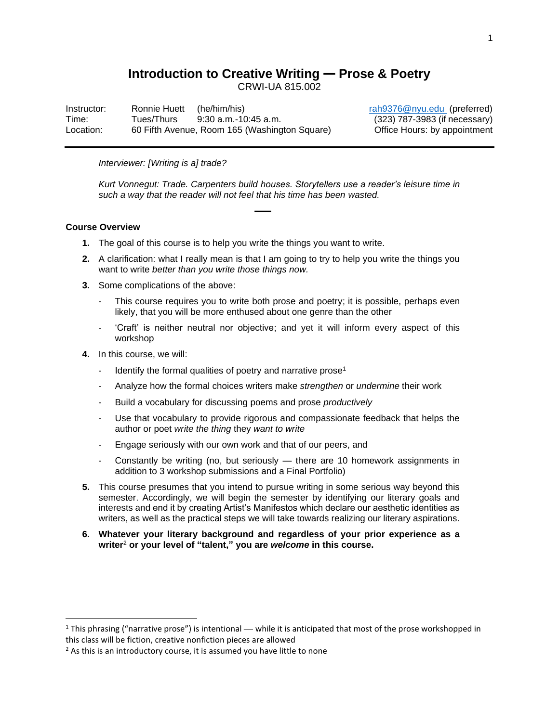# **Introduction to Creative Writing — Prose & Poetry**

CRWI-UA 815.002

Instructor: Ronnie Huett (he/him/his) [rah9376@nyu.edu](mailto:rah9376@nyu.edu) (preferred) Time: Tues/Thurs 9:30 a.m.-10:45 a.m. (323) 787-3983 (if necessary) Location: 60 Fifth Avenue, Room 165 (Washington Square) Office Hours: by appointment

# *Interviewer: [Writing is a] trade?*

*Kurt Vonnegut: Trade. Carpenters build houses. Storytellers use a reader's leisure time in such a way that the reader will not feel that his time has been wasted.*

# **Course Overview**

- **1.** The goal of this course is to help you write the things you want to write.
- **2.** A clarification: what I really mean is that I am going to try to help you write the things you want to write *better than you write those things now.*

**⸺**

- **3.** Some complications of the above:
	- This course requires you to write both prose and poetry; it is possible, perhaps even likely, that you will be more enthused about one genre than the other
	- 'Craft' is neither neutral nor objective; and yet it will inform every aspect of this workshop
- **4.** In this course, we will:
	- Identify the formal qualities of poetry and narrative prose<sup>1</sup>
	- Analyze how the formal choices writers make *strengthen* or *undermine* their work
	- Build a vocabulary for discussing poems and prose *productively*
	- Use that vocabulary to provide rigorous and compassionate feedback that helps the author or poet *write the thing* they *want to write*
	- Engage seriously with our own work and that of our peers, and
	- Constantly be writing (no, but seriously there are 10 homework assignments in addition to 3 workshop submissions and a Final Portfolio)
- **5.** This course presumes that you intend to pursue writing in some serious way beyond this semester. Accordingly, we will begin the semester by identifying our literary goals and interests and end it by creating Artist's Manifestos which declare our aesthetic identities as writers, as well as the practical steps we will take towards realizing our literary aspirations.
- **6. Whatever your literary background and regardless of your prior experience as a writer**<sup>2</sup> **or your level of "talent," you are** *welcome* **in this course.**

<sup>&</sup>lt;sup>1</sup> This phrasing ("narrative prose") is intentional — while it is anticipated that most of the prose workshopped in this class will be fiction, creative nonfiction pieces are allowed

 $2$  As this is an introductory course, it is assumed you have little to none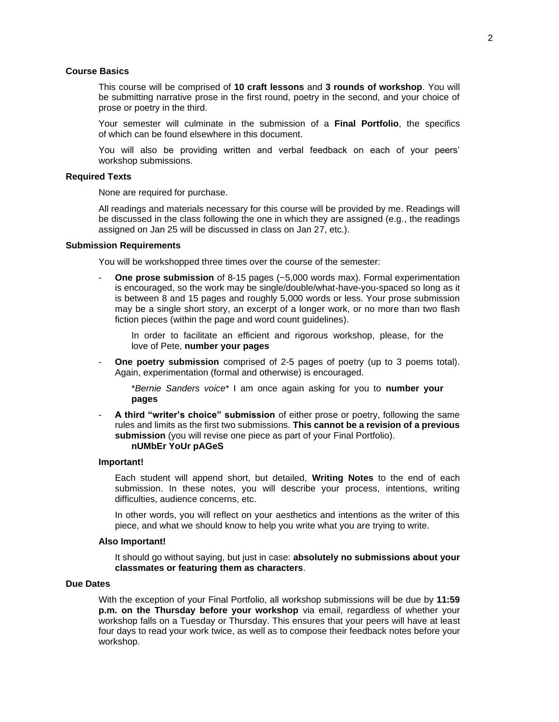# **Course Basics**

This course will be comprised of **10 craft lessons** and **3 rounds of workshop**. You will be submitting narrative prose in the first round, poetry in the second, and your choice of prose or poetry in the third.

Your semester will culminate in the submission of a **Final Portfolio**, the specifics of which can be found elsewhere in this document.

You will also be providing written and verbal feedback on each of your peers' workshop submissions.

#### **Required Texts**

None are required for purchase.

All readings and materials necessary for this course will be provided by me. Readings will be discussed in the class following the one in which they are assigned (e.g., the readings assigned on Jan 25 will be discussed in class on Jan 27, etc.).

#### **Submission Requirements**

You will be workshopped three times over the course of the semester:

**One prose submission** of 8-15 pages (~5,000 words max). Formal experimentation is encouraged, so the work may be single/double/what-have-you-spaced so long as it is between 8 and 15 pages and roughly 5,000 words or less. Your prose submission may be a single short story, an excerpt of a longer work, or no more than two flash fiction pieces (within the page and word count guidelines).

In order to facilitate an efficient and rigorous workshop, please, for the love of Pete, **number your pages**

**One poetry submission** comprised of 2-5 pages of poetry (up to 3 poems total). Again, experimentation (formal and otherwise) is encouraged.

\**Bernie Sanders voice*\* I am once again asking for you to **number your pages**

- **A third "writer's choice" submission** of either prose or poetry, following the same rules and limits as the first two submissions. **This cannot be a revision of a previous submission** (you will revise one piece as part of your Final Portfolio). **nUMbEr YoUr pAGeS**

#### **Important!**

Each student will append short, but detailed, **Writing Notes** to the end of each submission. In these notes, you will describe your process, intentions, writing difficulties, audience concerns, etc.

In other words, you will reflect on your aesthetics and intentions as the writer of this piece, and what we should know to help you write what you are trying to write.

#### **Also Important!**

It should go without saying, but just in case: **absolutely no submissions about your classmates or featuring them as characters**.

# **Due Dates**

With the exception of your Final Portfolio, all workshop submissions will be due by **11:59 p.m. on the Thursday before your workshop** via email, regardless of whether your workshop falls on a Tuesday or Thursday. This ensures that your peers will have at least four days to read your work twice, as well as to compose their feedback notes before your workshop.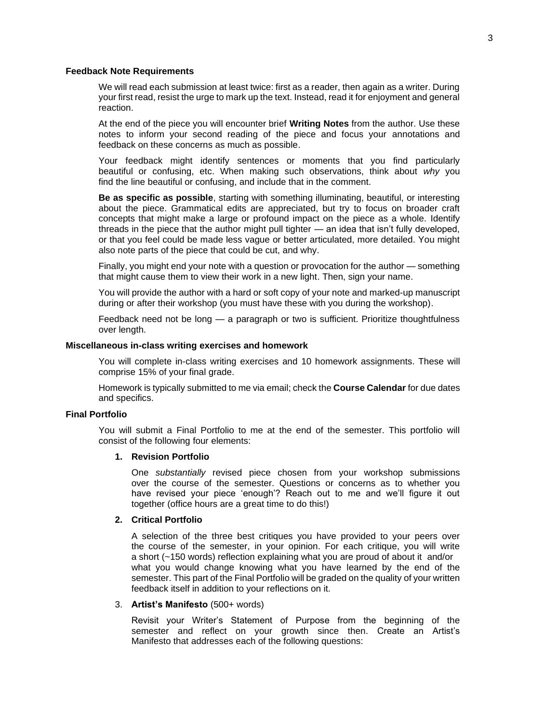#### **Feedback Note Requirements**

We will read each submission at least twice: first as a reader, then again as a writer. During your first read, resist the urge to mark up the text. Instead, read it for enjoyment and general reaction.

At the end of the piece you will encounter brief **Writing Notes** from the author. Use these notes to inform your second reading of the piece and focus your annotations and feedback on these concerns as much as possible.

Your feedback might identify sentences or moments that you find particularly beautiful or confusing, etc. When making such observations, think about *why* you find the line beautiful or confusing, and include that in the comment.

**Be as specific as possible**, starting with something illuminating, beautiful, or interesting about the piece. Grammatical edits are appreciated, but try to focus on broader craft concepts that might make a large or profound impact on the piece as a whole. Identify threads in the piece that the author might pull tighter — an idea that isn't fully developed, or that you feel could be made less vague or better articulated, more detailed. You might also note parts of the piece that could be cut, and why.

Finally, you might end your note with a question or provocation for the author — something that might cause them to view their work in a new light. Then, sign your name.

You will provide the author with a hard or soft copy of your note and marked-up manuscript during or after their workshop (you must have these with you during the workshop).

Feedback need not be long — a paragraph or two is sufficient. Prioritize thoughtfulness over length.

# **Miscellaneous in-class writing exercises and homework**

You will complete in-class writing exercises and 10 homework assignments. These will comprise 15% of your final grade.

Homework is typically submitted to me via email; check the **Course Calendar** for due dates and specifics.

# **Final Portfolio**

You will submit a Final Portfolio to me at the end of the semester. This portfolio will consist of the following four elements:

#### **1. Revision Portfolio**

One *substantially* revised piece chosen from your workshop submissions over the course of the semester. Questions or concerns as to whether you have revised your piece 'enough'? Reach out to me and we'll figure it out together (office hours are a great time to do this!)

# **2. Critical Portfolio**

A selection of the three best critiques you have provided to your peers over the course of the semester, in your opinion. For each critique, you will write a short (~150 words) reflection explaining what you are proud of about it and/or what you would change knowing what you have learned by the end of the semester. This part of the Final Portfolio will be graded on the quality of your written feedback itself in addition to your reflections on it.

#### 3. **Artist's Manifesto** (500+ words)

Revisit your Writer's Statement of Purpose from the beginning of the semester and reflect on your growth since then. Create an Artist's Manifesto that addresses each of the following questions: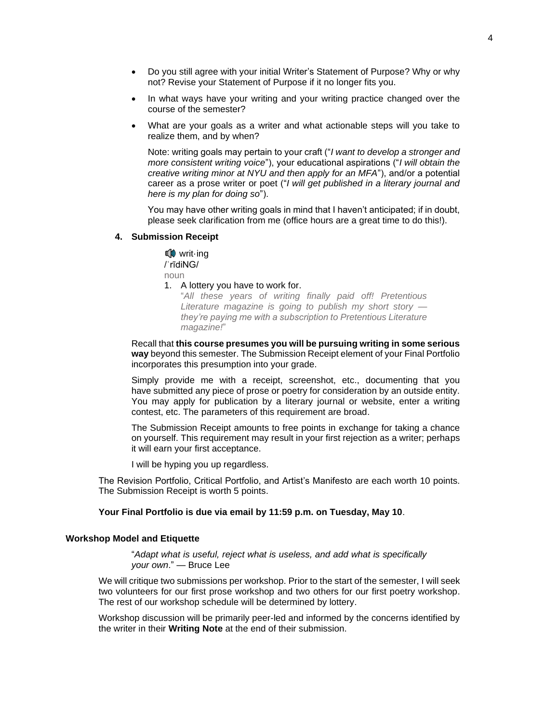- Do you still agree with your initial Writer's Statement of Purpose? Why or why not? Revise your Statement of Purpose if it no longer fits you.
- In what ways have your writing and your writing practice changed over the course of the semester?
- What are your goals as a writer and what actionable steps will you take to realize them, and by when?

Note: writing goals may pertain to your craft ("*I want to develop a stronger and more consistent writing voice*"), your educational aspirations ("*I will obtain the creative writing minor at NYU and then apply for an MFA*"), and/or a potential career as a prose writer or poet ("*I will get published in a literary journal and here is my plan for doing so*").

You may have other writing goals in mind that I haven't anticipated; if in doubt, please seek clarification from me (office hours are a great time to do this!).

#### **4. Submission Receipt**

**■ writ-ing**  /ˈrīdiNG/ noun

# 1. A lottery you have to work for.

"*All these years of writing finally paid off! Pretentious Literature magazine is going to publish my short story they're paying me with a subscription to Pretentious Literature magazine!*"

Recall that **this course presumes you will be pursuing writing in some serious way** beyond this semester. The Submission Receipt element of your Final Portfolio incorporates this presumption into your grade.

Simply provide me with a receipt, screenshot, etc., documenting that you have submitted any piece of prose or poetry for consideration by an outside entity. You may apply for publication by a literary journal or website, enter a writing contest, etc. The parameters of this requirement are broad.

The Submission Receipt amounts to free points in exchange for taking a chance on yourself. This requirement may result in your first rejection as a writer; perhaps it will earn your first acceptance.

I will be hyping you up regardless.

The Revision Portfolio, Critical Portfolio, and Artist's Manifesto are each worth 10 points. The Submission Receipt is worth 5 points.

# **Your Final Portfolio is due via email by 11:59 p.m. on Tuesday, May 10**.

#### **Workshop Model and Etiquette**

"*Adapt what is useful, reject what is useless, and add what is specifically your own*." — Bruce Lee

We will critique two submissions per workshop. Prior to the start of the semester, I will seek two volunteers for our first prose workshop and two others for our first poetry workshop. The rest of our workshop schedule will be determined by lottery.

Workshop discussion will be primarily peer-led and informed by the concerns identified by the writer in their **Writing Note** at the end of their submission.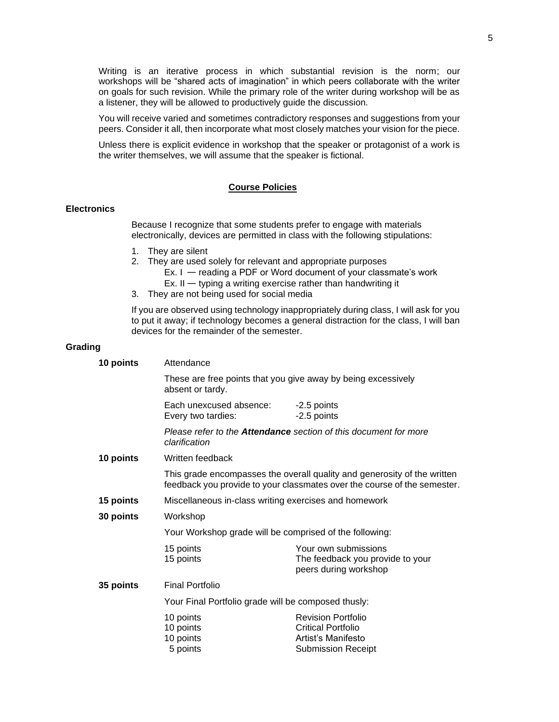Writing is an iterative process in which substantial revision is the norm; our workshops will be "shared acts of imagination" in which peers collaborate with the writer on goals for such revision. While the primary role of the writer during workshop will be as a listener, they will be allowed to productively guide the discussion.

You will receive varied and sometimes contradictory responses and suggestions from your peers. Consider it all, then incorporate what most closely matches your vision for the piece.

Unless there is explicit evidence in workshop that the speaker or protagonist of a work is the writer themselves, we will assume that the speaker is fictional.

# **Course Policies**

# **Electronics**

Because I recognize that some students prefer to engage with materials electronically, devices are permitted in class with the following stipulations:

- 1. They are silent
- 2. They are used solely for relevant and appropriate purposes
	- Ex. I reading a PDF or Word document of your classmate's work
	- Ex.  $II -$  typing a writing exercise rather than handwriting it
- 3. They are not being used for social media

If you are observed using technology inappropriately during class, I will ask for you to put it away; if technology becomes a general distraction for the class, I will ban devices for the remainder of the semester.

#### **Grading**

| 10 points | Attendance                                                                                                                                           |                                                                                                           |  |
|-----------|------------------------------------------------------------------------------------------------------------------------------------------------------|-----------------------------------------------------------------------------------------------------------|--|
|           | absent or tardy.                                                                                                                                     | These are free points that you give away by being excessively                                             |  |
|           | Each unexcused absence:<br>Every two tardies:                                                                                                        | -2.5 points<br>-2.5 points                                                                                |  |
|           | Please refer to the <b>Attendance</b> section of this document for more<br>clarification                                                             |                                                                                                           |  |
| 10 points | Written feedback                                                                                                                                     |                                                                                                           |  |
|           | This grade encompasses the overall quality and generosity of the written<br>feedback you provide to your classmates over the course of the semester. |                                                                                                           |  |
| 15 points | Miscellaneous in-class writing exercises and homework                                                                                                |                                                                                                           |  |
| 30 points | Workshop                                                                                                                                             |                                                                                                           |  |
|           | Your Workshop grade will be comprised of the following:                                                                                              |                                                                                                           |  |
|           | 15 points<br>15 points                                                                                                                               | Your own submissions<br>The feedback you provide to your<br>peers during workshop                         |  |
| 35 points | <b>Final Portfolio</b>                                                                                                                               |                                                                                                           |  |
|           | Your Final Portfolio grade will be composed thusly:                                                                                                  |                                                                                                           |  |
|           | 10 points<br>10 points<br>10 points<br>5 points                                                                                                      | <b>Revision Portfolio</b><br><b>Critical Portfolio</b><br>Artist's Manifesto<br><b>Submission Receipt</b> |  |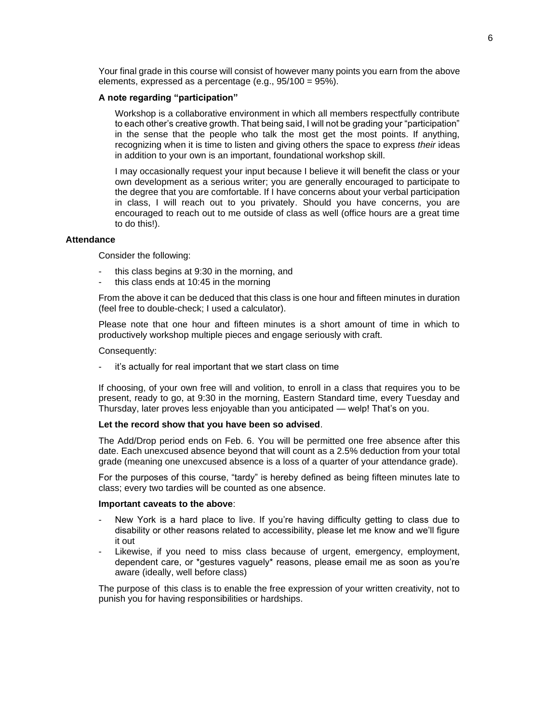Your final grade in this course will consist of however many points you earn from the above elements, expressed as a percentage (e.g., 95/100 = 95%).

# **A note regarding "participation"**

Workshop is a collaborative environment in which all members respectfully contribute to each other's creative growth. That being said, I will not be grading your "participation" in the sense that the people who talk the most get the most points. If anything, recognizing when it is time to listen and giving others the space to express *their* ideas in addition to your own is an important, foundational workshop skill.

I may occasionally request your input because I believe it will benefit the class or your own development as a serious writer; you are generally encouraged to participate to the degree that you are comfortable. If I have concerns about your verbal participation in class, I will reach out to you privately. Should you have concerns, you are encouraged to reach out to me outside of class as well (office hours are a great time to do this!).

# **Attendance**

Consider the following:

- this class begins at 9:30 in the morning, and
- this class ends at 10:45 in the morning

From the above it can be deduced that this class is one hour and fifteen minutes in duration (feel free to double-check; I used a calculator).

Please note that one hour and fifteen minutes is a short amount of time in which to productively workshop multiple pieces and engage seriously with craft.

#### Consequently:

it's actually for real important that we start class on time

If choosing, of your own free will and volition, to enroll in a class that requires you to be present, ready to go, at 9:30 in the morning, Eastern Standard time, every Tuesday and Thursday, later proves less enjoyable than you anticipated — welp! That's on you.

#### **Let the record show that you have been so advised**.

The Add/Drop period ends on Feb. 6. You will be permitted one free absence after this date. Each unexcused absence beyond that will count as a 2.5% deduction from your total grade (meaning one unexcused absence is a loss of a quarter of your attendance grade).

For the purposes of this course, "tardy" is hereby defined as being fifteen minutes late to class; every two tardies will be counted as one absence.

#### **Important caveats to the above**:

- New York is a hard place to live. If you're having difficulty getting to class due to disability or other reasons related to accessibility, please let me know and we'll figure it out
- Likewise, if you need to miss class because of urgent, emergency, employment, dependent care, or \*gestures vaguely\* reasons, please email me as soon as you're aware (ideally, well before class)

The purpose of this class is to enable the free expression of your written creativity, not to punish you for having responsibilities or hardships.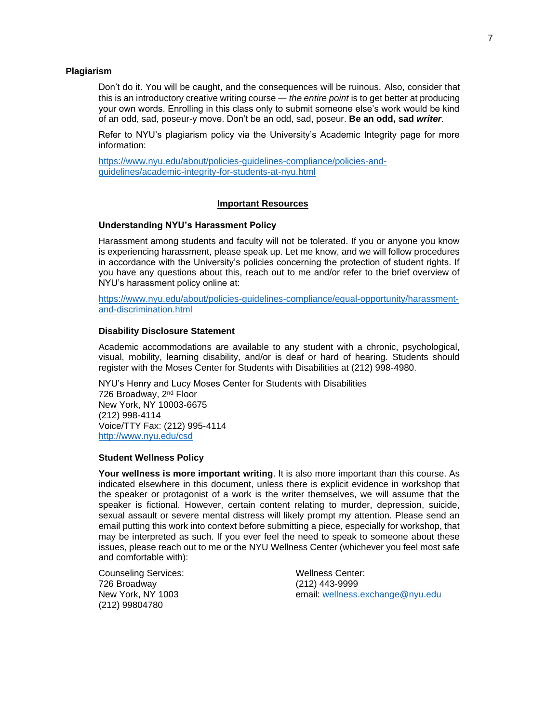#### **Plagiarism**

Don't do it. You will be caught, and the consequences will be ruinous. Also, consider that this is an introductory creative writing course — *the entire point* is to get better at producing your own words. Enrolling in this class only to submit someone else's work would be kind of an odd, sad, poseur-y move. Don't be an odd, sad, poseur. **Be an odd, sad** *writer*.

Refer to NYU's plagiarism policy via the University's Academic Integrity page for more information:

[https://www.nyu.edu/about/policies-guidelines-compliance/policies-and](https://www.nyu.edu/about/policies-guidelines-compliance/policies-and-guidelines/academic-integrity-for-students-at-nyu.html)[guidelines/academic-integrity-for-students-at-nyu.html](https://www.nyu.edu/about/policies-guidelines-compliance/policies-and-guidelines/academic-integrity-for-students-at-nyu.html)

#### **Important Resources**

# **Understanding NYU's Harassment Policy**

Harassment among students and faculty will not be tolerated. If you or anyone you know is experiencing harassment, please speak up. Let me know, and we will follow procedures in accordance with the University's policies concerning the protection of student rights. If you have any questions about this, reach out to me and/or refer to the brief overview of NYU's harassment policy online at:

[https://www.nyu.edu/about/policies-guidelines-compliance/equal-opportunity/harassment](https://www.nyu.edu/about/policies-guidelines-compliance/equal-opportunity/harassment-and-discrimination.html)[and-discrimination.html](https://www.nyu.edu/about/policies-guidelines-compliance/equal-opportunity/harassment-and-discrimination.html)

### **Disability Disclosure Statement**

Academic accommodations are available to any student with a chronic, psychological, visual, mobility, learning disability, and/or is deaf or hard of hearing. Students should register with the Moses Center for Students with Disabilities at (212) 998-4980.

NYU's Henry and Lucy Moses Center for Students with Disabilities 726 Broadway, 2<sup>nd</sup> Floor New York, NY 10003-6675 (212) 998-4114 Voice/TTY Fax: (212) 995-4114 <http://www.nyu.edu/csd>

#### **Student Wellness Policy**

**Your wellness is more important writing**. It is also more important than this course. As indicated elsewhere in this document, unless there is explicit evidence in workshop that the speaker or protagonist of a work is the writer themselves, we will assume that the speaker is fictional. However, certain content relating to murder, depression, suicide, sexual assault or severe mental distress will likely prompt my attention. Please send an email putting this work into context before submitting a piece, especially for workshop, that may be interpreted as such. If you ever feel the need to speak to someone about these issues, please reach out to me or the NYU Wellness Center (whichever you feel most safe and comfortable with):

Counseling Services: Wellness Center: 726 Broadway (212) 443-9999 (212) 99804780

New York, NY 1003 email: [wellness.exchange@nyu.edu](mailto:wellness.exchange@nyu.edu)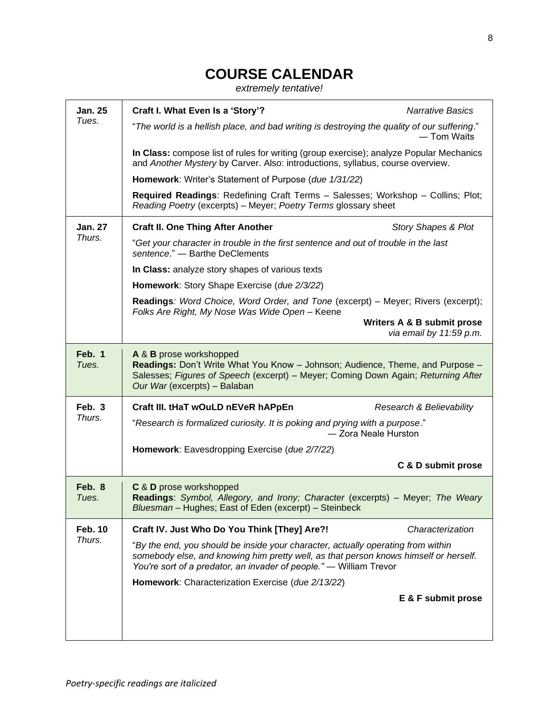# **COURSE CALENDAR**

*extremely tentative!*

| <b>Jan. 25</b>           | Craft I. What Even Is a 'Story'?                                                                                                                                                                                                               | <b>Narrative Basics</b>                               |  |
|--------------------------|------------------------------------------------------------------------------------------------------------------------------------------------------------------------------------------------------------------------------------------------|-------------------------------------------------------|--|
| Tues.                    | "The world is a hellish place, and bad writing is destroying the quality of our suffering."<br>— Tom Waits                                                                                                                                     |                                                       |  |
|                          | In Class: compose list of rules for writing (group exercise); analyze Popular Mechanics<br>and Another Mystery by Carver. Also: introductions, syllabus, course overview.                                                                      |                                                       |  |
|                          | Homework: Writer's Statement of Purpose (due 1/31/22)                                                                                                                                                                                          |                                                       |  |
|                          | Required Readings: Redefining Craft Terms - Salesses; Workshop - Collins; Plot;<br>Reading Poetry (excerpts) - Meyer; Poetry Terms glossary sheet                                                                                              |                                                       |  |
| <b>Jan. 27</b><br>Thurs. | <b>Craft II. One Thing After Another</b>                                                                                                                                                                                                       | <b>Story Shapes &amp; Plot</b>                        |  |
|                          | "Get your character in trouble in the first sentence and out of trouble in the last<br>sentence." - Barthe DeClements                                                                                                                          |                                                       |  |
|                          | In Class: analyze story shapes of various texts                                                                                                                                                                                                |                                                       |  |
|                          | Homework: Story Shape Exercise (due 2/3/22)                                                                                                                                                                                                    |                                                       |  |
|                          | Readings: Word Choice, Word Order, and Tone (excerpt) - Meyer; Rivers (excerpt);<br>Folks Are Right, My Nose Was Wide Open - Keene                                                                                                             |                                                       |  |
|                          |                                                                                                                                                                                                                                                | Writers A & B submit prose<br>via email by 11:59 p.m. |  |
| Feb. 1<br>Tues.          | A & B prose workshopped<br>Readings: Don't Write What You Know - Johnson; Audience, Theme, and Purpose -<br>Salesses; Figures of Speech (excerpt) - Meyer; Coming Down Again; Returning After<br>Our War (excerpts) - Balaban                  |                                                       |  |
| Feb. 3<br>Thurs.         | Craft III. tHaT wOuLD nEVeR hAPpEn                                                                                                                                                                                                             | Research & Believability                              |  |
|                          | "Research is formalized curiosity. It is poking and prying with a purpose."<br>- Zora Neale Hurston                                                                                                                                            |                                                       |  |
|                          | Homework: Eavesdropping Exercise (due 2/7/22)                                                                                                                                                                                                  |                                                       |  |
|                          |                                                                                                                                                                                                                                                | C & D submit prose                                    |  |
| Feb. 8<br>Tues.          | C & D prose workshopped<br>Readings: Symbol, Allegory, and Irony; Character (excerpts) - Meyer; The Weary<br>Bluesman - Hughes; East of Eden (excerpt) - Steinbeck                                                                             |                                                       |  |
| <b>Feb. 10</b><br>Thurs. | Craft IV. Just Who Do You Think [They] Are?!                                                                                                                                                                                                   | Characterization                                      |  |
|                          | "By the end, you should be inside your character, actually operating from within<br>somebody else, and knowing him pretty well, as that person knows himself or herself.<br>You're sort of a predator, an invader of people." - William Trevor |                                                       |  |
|                          | Homework: Characterization Exercise (due 2/13/22)                                                                                                                                                                                              |                                                       |  |
|                          |                                                                                                                                                                                                                                                | E & F submit prose                                    |  |
|                          |                                                                                                                                                                                                                                                |                                                       |  |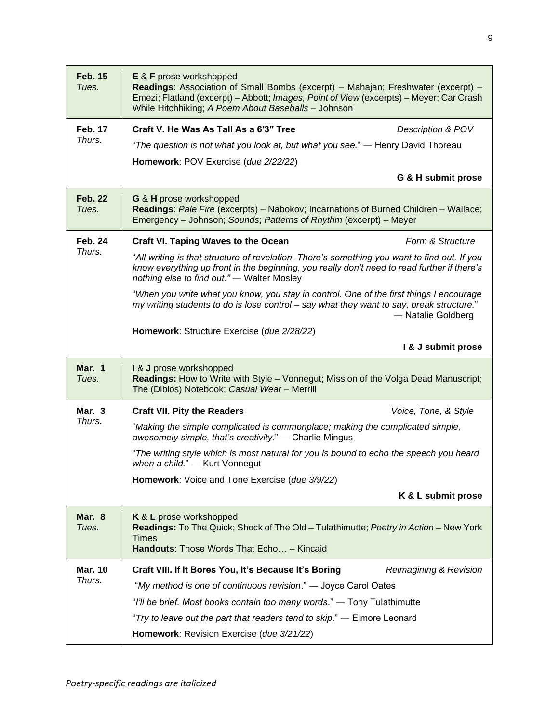| <b>Feb. 15</b><br>Tues.  | <b>E &amp; F</b> prose workshopped<br>Readings: Association of Small Bombs (excerpt) - Mahajan; Freshwater (excerpt) -<br>Emezi; Flatland (excerpt) - Abbott; Images, Point of View (excerpts) - Meyer; Car Crash<br>While Hitchhiking; A Poem About Baseballs - Johnson |                        |  |
|--------------------------|--------------------------------------------------------------------------------------------------------------------------------------------------------------------------------------------------------------------------------------------------------------------------|------------------------|--|
| <b>Feb. 17</b><br>Thurs. | Craft V. He Was As Tall As a 6'3" Tree                                                                                                                                                                                                                                   | Description & POV      |  |
|                          | "The question is not what you look at, but what you see." — Henry David Thoreau                                                                                                                                                                                          |                        |  |
|                          | Homework: POV Exercise (due 2/22/22)                                                                                                                                                                                                                                     |                        |  |
|                          |                                                                                                                                                                                                                                                                          | G & H submit prose     |  |
| <b>Feb. 22</b><br>Tues.  | G & H prose workshopped<br>Readings: Pale Fire (excerpts) - Nabokov; Incarnations of Burned Children - Wallace;<br>Emergency - Johnson; Sounds; Patterns of Rhythm (excerpt) - Meyer                                                                                     |                        |  |
| <b>Feb. 24</b>           | <b>Craft VI. Taping Waves to the Ocean</b>                                                                                                                                                                                                                               | Form & Structure       |  |
| Thurs.                   | "All writing is that structure of revelation. There's something you want to find out. If you<br>know everything up front in the beginning, you really don't need to read further if there's<br>nothing else to find out." - Walter Mosley                                |                        |  |
|                          | "When you write what you know, you stay in control. One of the first things I encourage<br>my writing students to do is lose control - say what they want to say, break structure."                                                                                      | - Natalie Goldberg     |  |
|                          | Homework: Structure Exercise (due 2/28/22)                                                                                                                                                                                                                               |                        |  |
|                          |                                                                                                                                                                                                                                                                          | I & J submit prose     |  |
| Mar. 1<br>Tues.          | I & J prose workshopped<br>Readings: How to Write with Style - Vonnegut; Mission of the Volga Dead Manuscript;<br>The (Diblos) Notebook; Casual Wear - Merrill                                                                                                           |                        |  |
| Mar. 3                   | <b>Craft VII. Pity the Readers</b>                                                                                                                                                                                                                                       | Voice, Tone, & Style   |  |
| Thurs.                   | "Making the simple complicated is commonplace; making the complicated simple,<br>awesomely simple, that's creativity." - Charlie Mingus                                                                                                                                  |                        |  |
|                          |                                                                                                                                                                                                                                                                          |                        |  |
|                          | "The writing style which is most natural for you is bound to echo the speech you heard<br>when a child." - Kurt Vonnegut                                                                                                                                                 |                        |  |
|                          | Homework: Voice and Tone Exercise (due 3/9/22)                                                                                                                                                                                                                           |                        |  |
|                          |                                                                                                                                                                                                                                                                          | K & L submit prose     |  |
| Mar. 8<br>Tues.          | K & L prose workshopped<br>Readings: To The Quick; Shock of The Old - Tulathimutte; Poetry in Action - New York<br><b>Times</b><br>Handouts: Those Words That Echo - Kincaid                                                                                             |                        |  |
| <b>Mar. 10</b>           | Craft VIII. If It Bores You, It's Because It's Boring                                                                                                                                                                                                                    | Reimagining & Revision |  |
| Thurs.                   | "My method is one of continuous revision." — Joyce Carol Oates                                                                                                                                                                                                           |                        |  |
|                          | "I'll be brief. Most books contain too many words." - Tony Tulathimutte                                                                                                                                                                                                  |                        |  |
|                          | "Try to leave out the part that readers tend to skip." - Elmore Leonard                                                                                                                                                                                                  |                        |  |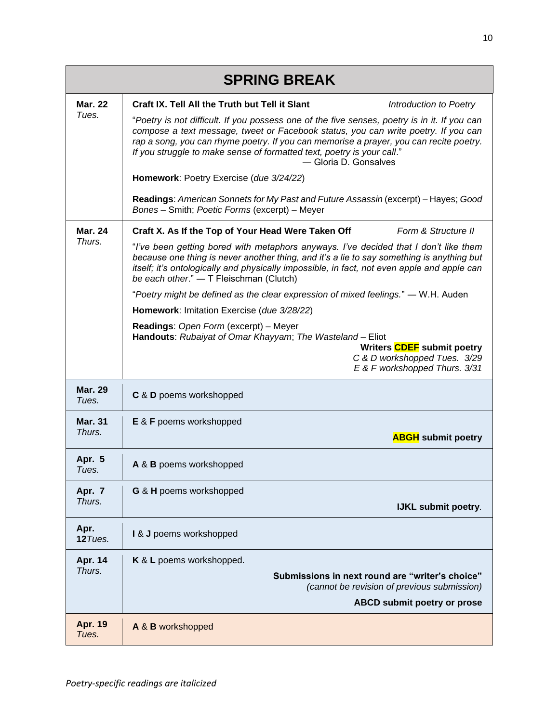| <b>SPRING BREAK</b>      |                                                                                                                                                                                                                                                                                                                                                                                                                                                                                                                                                                                                                                                                                                                                                  |  |
|--------------------------|--------------------------------------------------------------------------------------------------------------------------------------------------------------------------------------------------------------------------------------------------------------------------------------------------------------------------------------------------------------------------------------------------------------------------------------------------------------------------------------------------------------------------------------------------------------------------------------------------------------------------------------------------------------------------------------------------------------------------------------------------|--|
| <b>Mar. 22</b><br>Tues.  | Craft IX. Tell All the Truth but Tell it Slant<br>Introduction to Poetry<br>"Poetry is not difficult. If you possess one of the five senses, poetry is in it. If you can<br>compose a text message, tweet or Facebook status, you can write poetry. If you can<br>rap a song, you can rhyme poetry. If you can memorise a prayer, you can recite poetry.<br>If you struggle to make sense of formatted text, poetry is your call."<br>- Gloria D. Gonsalves<br>Homework: Poetry Exercise (due 3/24/22)<br>Readings: American Sonnets for My Past and Future Assassin (excerpt) - Hayes; Good<br>Bones - Smith; Poetic Forms (excerpt) - Meyer                                                                                                    |  |
| <b>Mar. 24</b><br>Thurs. | Form & Structure II<br>Craft X. As If the Top of Your Head Were Taken Off<br>"I've been getting bored with metaphors anyways. I've decided that I don't like them<br>because one thing is never another thing, and it's a lie to say something is anything but<br>itself; it's ontologically and physically impossible, in fact, not even apple and apple can<br>be each other." - T Fleischman (Clutch)<br>"Poetry might be defined as the clear expression of mixed feelings." — W.H. Auden<br>Homework: Imitation Exercise (due 3/28/22)<br>Readings: Open Form (excerpt) - Meyer<br>Handouts: Rubaiyat of Omar Khayyam; The Wasteland - Eliot<br>Writers CDEF submit poetry<br>C & D workshopped Tues. 3/29<br>E & F workshopped Thurs. 3/31 |  |
| <b>Mar. 29</b><br>Tues.  | C & D poems workshopped                                                                                                                                                                                                                                                                                                                                                                                                                                                                                                                                                                                                                                                                                                                          |  |
| <b>Mar. 31</b><br>Thurs. | <b>E &amp; F</b> poems workshopped<br><b>ABGH</b> submit poetry                                                                                                                                                                                                                                                                                                                                                                                                                                                                                                                                                                                                                                                                                  |  |
| Apr. 5<br>Tues.          | A & B poems workshopped                                                                                                                                                                                                                                                                                                                                                                                                                                                                                                                                                                                                                                                                                                                          |  |
| Apr. 7<br>Thurs.         | G & H poems workshopped<br>IJKL submit poetry.                                                                                                                                                                                                                                                                                                                                                                                                                                                                                                                                                                                                                                                                                                   |  |
| Apr.<br>$12$ Tues.       | I & J poems workshopped                                                                                                                                                                                                                                                                                                                                                                                                                                                                                                                                                                                                                                                                                                                          |  |
| Apr. 14<br>Thurs.        | K & L poems workshopped.<br>Submissions in next round are "writer's choice"<br>(cannot be revision of previous submission)<br><b>ABCD submit poetry or prose</b>                                                                                                                                                                                                                                                                                                                                                                                                                                                                                                                                                                                 |  |
| <b>Apr. 19</b><br>Tues.  | A & B workshopped                                                                                                                                                                                                                                                                                                                                                                                                                                                                                                                                                                                                                                                                                                                                |  |